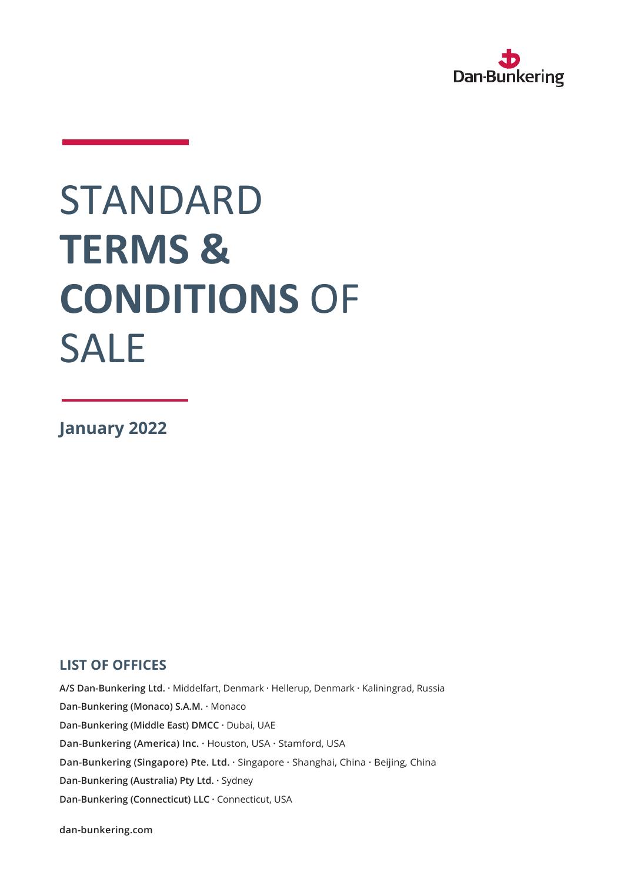

# STANDARD **TERMS & CONDITIONS** OF SALE

**January 2022**

# **LIST OF OFFICES**

**A/S Dan-Bunkering Ltd. ·** Middelfart, Denmark **·** Hellerup, Denmark **·** Kaliningrad, Russia **Dan-Bunkering (Monaco) S.A.M. ·** Monaco **Dan-Bunkering (Middle East) DMCC ·** Dubai, UAE **Dan-Bunkering (America) Inc. ·** Houston, USA **·** Stamford, USA **Dan-Bunkering (Singapore) Pte. Ltd. ·** Singapore **·** Shanghai, China **·** Beijing, China **Dan-Bunkering (Australia) Pty Ltd. ·** Sydney **Dan-Bunkering (Connecticut) LLC ·** Connecticut, USA

**dan-bunkering.com**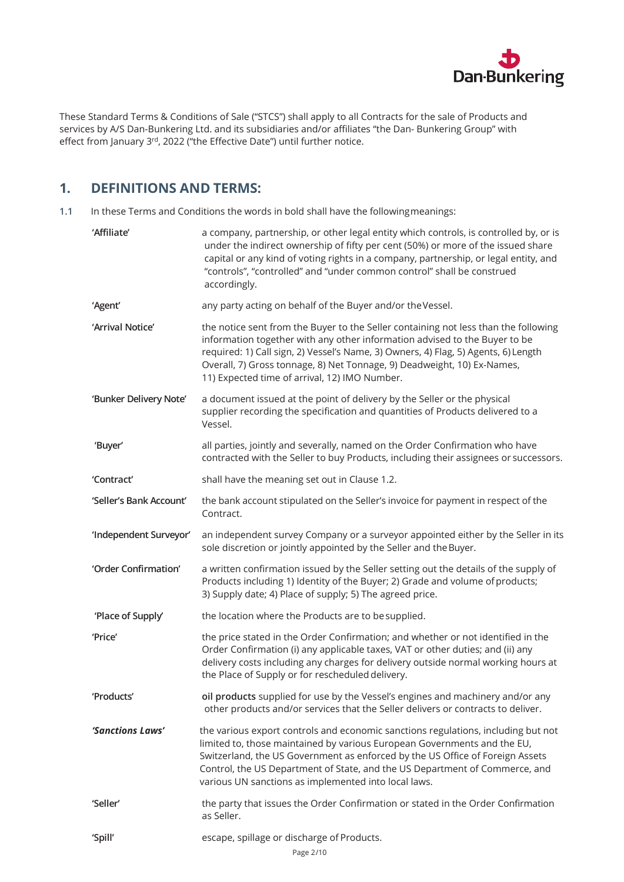

These Standard Terms & Conditions of Sale ("STCS") shall apply to all Contracts for the sale of Products and services by A/S Dan-Bunkering Ltd. and its subsidiaries and/or affiliates "the Dan- Bunkering Group" with effect from January 3rd, 2022 ("the Effective Date") until further notice.

#### **1. DEFINITIONS AND TERMS:**

**1.1** In these Terms and Conditions the words in bold shall have the followingmeanings:

| 'Affiliate'             | a company, partnership, or other legal entity which controls, is controlled by, or is                                                                                                                                                                                                                                                                                                 |
|-------------------------|---------------------------------------------------------------------------------------------------------------------------------------------------------------------------------------------------------------------------------------------------------------------------------------------------------------------------------------------------------------------------------------|
|                         | under the indirect ownership of fifty per cent (50%) or more of the issued share<br>capital or any kind of voting rights in a company, partnership, or legal entity, and<br>"controls", "controlled" and "under common control" shall be construed<br>accordingly.                                                                                                                    |
| 'Agent'                 | any party acting on behalf of the Buyer and/or the Vessel.                                                                                                                                                                                                                                                                                                                            |
| 'Arrival Notice'        | the notice sent from the Buyer to the Seller containing not less than the following<br>information together with any other information advised to the Buyer to be<br>required: 1) Call sign, 2) Vessel's Name, 3) Owners, 4) Flag, 5) Agents, 6) Length<br>Overall, 7) Gross tonnage, 8) Net Tonnage, 9) Deadweight, 10) Ex-Names,<br>11) Expected time of arrival, 12) IMO Number.   |
| 'Bunker Delivery Note'  | a document issued at the point of delivery by the Seller or the physical<br>supplier recording the specification and quantities of Products delivered to a<br>Vessel.                                                                                                                                                                                                                 |
| 'Buyer'                 | all parties, jointly and severally, named on the Order Confirmation who have<br>contracted with the Seller to buy Products, including their assignees or successors.                                                                                                                                                                                                                  |
| 'Contract'              | shall have the meaning set out in Clause 1.2.                                                                                                                                                                                                                                                                                                                                         |
| 'Seller's Bank Account' | the bank account stipulated on the Seller's invoice for payment in respect of the<br>Contract.                                                                                                                                                                                                                                                                                        |
| 'Independent Surveyor'  | an independent survey Company or a surveyor appointed either by the Seller in its<br>sole discretion or jointly appointed by the Seller and the Buyer.                                                                                                                                                                                                                                |
| 'Order Confirmation'    | a written confirmation issued by the Seller setting out the details of the supply of<br>Products including 1) Identity of the Buyer; 2) Grade and volume of products;<br>3) Supply date; 4) Place of supply; 5) The agreed price.                                                                                                                                                     |
| 'Place of Supply'       | the location where the Products are to be supplied.                                                                                                                                                                                                                                                                                                                                   |
| 'Price'                 | the price stated in the Order Confirmation; and whether or not identified in the<br>Order Confirmation (i) any applicable taxes, VAT or other duties; and (ii) any<br>delivery costs including any charges for delivery outside normal working hours at<br>the Place of Supply or for rescheduled delivery.                                                                           |
| 'Products'              | oil products supplied for use by the Vessel's engines and machinery and/or any<br>other products and/or services that the Seller delivers or contracts to deliver.                                                                                                                                                                                                                    |
| 'Sanctions Laws'        | the various export controls and economic sanctions regulations, including but not<br>limited to, those maintained by various European Governments and the EU,<br>Switzerland, the US Government as enforced by the US Office of Foreign Assets<br>Control, the US Department of State, and the US Department of Commerce, and<br>various UN sanctions as implemented into local laws. |
| 'Seller'                | the party that issues the Order Confirmation or stated in the Order Confirmation<br>as Seller.                                                                                                                                                                                                                                                                                        |
| 'Spill'                 | escape, spillage or discharge of Products.<br>Page 2/10                                                                                                                                                                                                                                                                                                                               |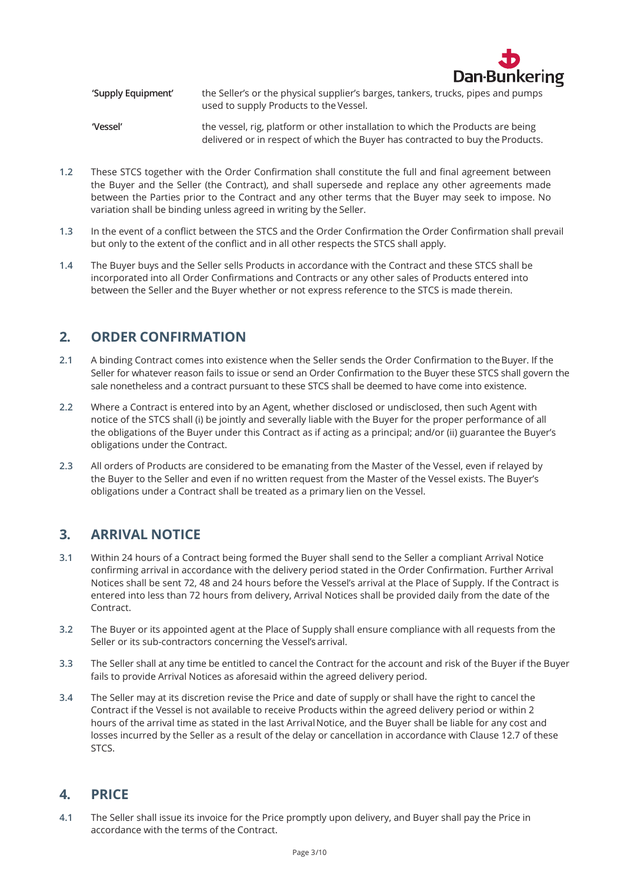

| 'Supply Equipment' | the Seller's or the physical supplier's barges, tankers, trucks, pipes and pumps |
|--------------------|----------------------------------------------------------------------------------|
|                    | used to supply Products to the Vessel.                                           |
|                    |                                                                                  |

**'Vessel'** the vessel, rig, platform or other installation to which the Products are being delivered or in respect of which the Buyer has contracted to buy the Products.

- **1.2** These STCS together with the Order Confirmation shall constitute the full and final agreement between the Buyer and the Seller (the Contract), and shall supersede and replace any other agreements made between the Parties prior to the Contract and any other terms that the Buyer may seek to impose. No variation shall be binding unless agreed in writing by the Seller.
- **1.3** In the event of a conflict between the STCS and the Order Confirmation the Order Confirmation shall prevail but only to the extent of the conflict and in all other respects the STCS shall apply.
- **1.4** The Buyer buys and the Seller sells Products in accordance with the Contract and these STCS shall be incorporated into all Order Confirmations and Contracts or any other sales of Products entered into between the Seller and the Buyer whether or not express reference to the STCS is made therein.

### **2. ORDER CONFIRMATION**

- **2.1** A binding Contract comes into existence when the Seller sends the Order Confirmation to theBuyer. If the Seller for whatever reason fails to issue or send an Order Confirmation to the Buyer these STCS shall govern the sale nonetheless and a contract pursuant to these STCS shall be deemed to have come into existence.
- **2.2** Where a Contract is entered into by an Agent, whether disclosed or undisclosed, then such Agent with notice of the STCS shall (i) be jointly and severally liable with the Buyer for the proper performance of all the obligations of the Buyer under this Contract as if acting as a principal; and/or (ii) guarantee the Buyer's obligations under the Contract.
- **2.3** All orders of Products are considered to be emanating from the Master of the Vessel, even if relayed by the Buyer to the Seller and even if no written request from the Master of the Vessel exists. The Buyer's obligations under a Contract shall be treated as a primary lien on the Vessel.

# **3. ARRIVAL NOTICE**

- **3.1** Within 24 hours of a Contract being formed the Buyer shall send to the Seller a compliant Arrival Notice confirming arrival in accordance with the delivery period stated in the Order Confirmation. Further Arrival Notices shall be sent 72, 48 and 24 hours before the Vessel's arrival at the Place of Supply. If the Contract is entered into less than 72 hours from delivery, Arrival Notices shall be provided daily from the date of the Contract.
- **3.2** The Buyer or its appointed agent at the Place of Supply shall ensure compliance with all requests from the Seller or its sub-contractors concerning the Vessel's arrival.
- **3.3** The Seller shall at any time be entitled to cancel the Contract for the account and risk of the Buyer if the Buyer fails to provide Arrival Notices as aforesaid within the agreed delivery period.
- **3.4** The Seller may at its discretion revise the Price and date of supply or shall have the right to cancel the Contract if the Vessel is not available to receive Products within the agreed delivery period or within 2 hours of the arrival time as stated in the last ArrivalNotice, and the Buyer shall be liable for any cost and losses incurred by the Seller as a result of the delay or cancellation in accordance with Claus[e 12.7](#page-7-0) of these STCS.

#### **4. PRICE**

**4.1** The Seller shall issue its invoice for the Price promptly upon delivery, and Buyer shall pay the Price in accordance with the terms of the Contract.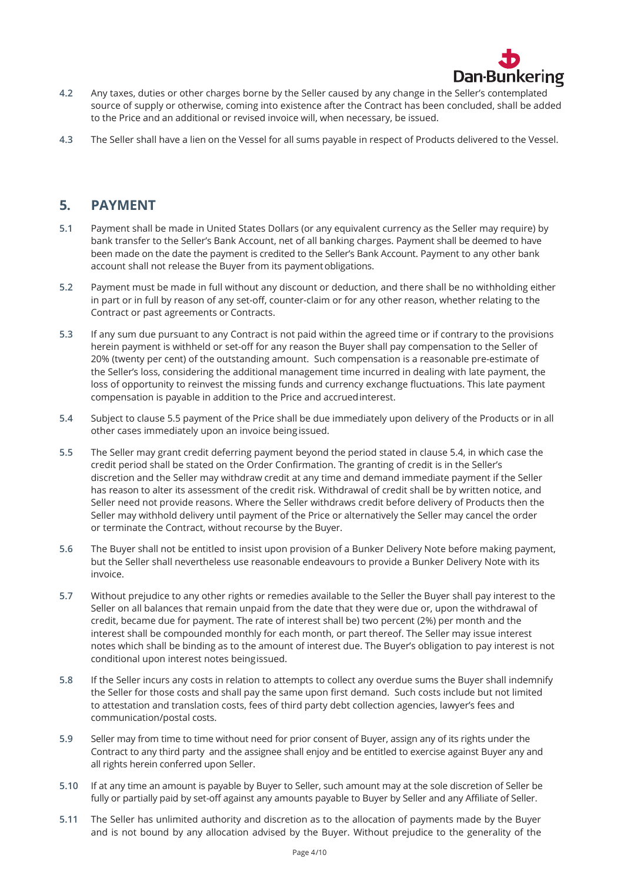

- **4.2** Any taxes, duties or other charges borne by the Seller caused by any change in the Seller's contemplated source of supply or otherwise, coming into existence after the Contract has been concluded, shall be added to the Price and an additional or revised invoice will, when necessary, be issued.
- **4.3** The Seller shall have a lien on the Vessel for all sums payable in respect of Products delivered to the Vessel.

#### **5. PAYMENT**

- **5.1** Payment shall be made in United States Dollars (or any equivalent currency as the Seller may require) by bank transfer to the Seller's Bank Account, net of all banking charges. Payment shall be deemed to have been made on the date the payment is credited to the Seller's Bank Account. Payment to any other bank account shall not release the Buyer from its payment obligations.
- **5.2** Payment must be made in full without any discount or deduction, and there shall be no withholding either in part or in full by reason of any set-off, counter-claim or for any other reason, whether relating to the Contract or past agreements or Contracts.
- **5.3** If any sum due pursuant to any Contract is not paid within the agreed time or if contrary to the provisions herein payment is withheld or set-off for any reason the Buyer shall pay compensation to the Seller of 20% (twenty per cent) of the outstanding amount. Such compensation is a reasonable pre-estimate of the Seller's loss, considering the additional management time incurred in dealing with late payment, the loss of opportunity to reinvest the missing funds and currency exchange fluctuations. This late payment compensation is payable in addition to the Price and accruedinterest.
- **5.4** Subject to clause 5.5 payment of the Price shall be due immediately upon delivery of the Products or in all other cases immediately upon an invoice being issued.
- **5.5** The Seller may grant credit deferring payment beyond the period stated in clause 5.4, in which case the credit period shall be stated on the Order Confirmation. The granting of credit is in the Seller's discretion and the Seller may withdraw credit at any time and demand immediate payment if the Seller has reason to alter its assessment of the credit risk. Withdrawal of credit shall be by written notice, and Seller need not provide reasons. Where the Seller withdraws credit before delivery of Products then the Seller may withhold delivery until payment of the Price or alternatively the Seller may cancel the order or terminate the Contract, without recourse by the Buyer.
- **5.6** The Buyer shall not be entitled to insist upon provision of a Bunker Delivery Note before making payment, but the Seller shall nevertheless use reasonable endeavours to provide a Bunker Delivery Note with its invoice.
- **5.7** Without prejudice to any other rights or remedies available to the Seller the Buyer shall pay interest to the Seller on all balances that remain unpaid from the date that they were due or, upon the withdrawal of credit, became due for payment. The rate of interest shall be) two percent (2%) per month and the interest shall be compounded monthly for each month, or part thereof. The Seller may issue interest notes which shall be binding as to the amount of interest due. The Buyer's obligation to pay interest is not conditional upon interest notes beingissued.
- **5.8** If the Seller incurs any costs in relation to attempts to collect any overdue sums the Buyer shall indemnify the Seller for those costs and shall pay the same upon first demand. Such costs include but not limited to attestation and translation costs, fees of third party debt collection agencies, lawyer's fees and communication/postal costs.
- **5.9** Seller may from time to time without need for prior consent of Buyer, assign any of its rights under the Contract to any third party and the assignee shall enjoy and be entitled to exercise against Buyer any and all rights herein conferred upon Seller.
- **5.10** If at any time an amount is payable by Buyer to Seller, such amount may at the sole discretion of Seller be fully or partially paid by set-off against any amounts payable to Buyer by Seller and any Affiliate of Seller.
- **5.11** The Seller has unlimited authority and discretion as to the allocation of payments made by the Buyer and is not bound by any allocation advised by the Buyer. Without prejudice to the generality of the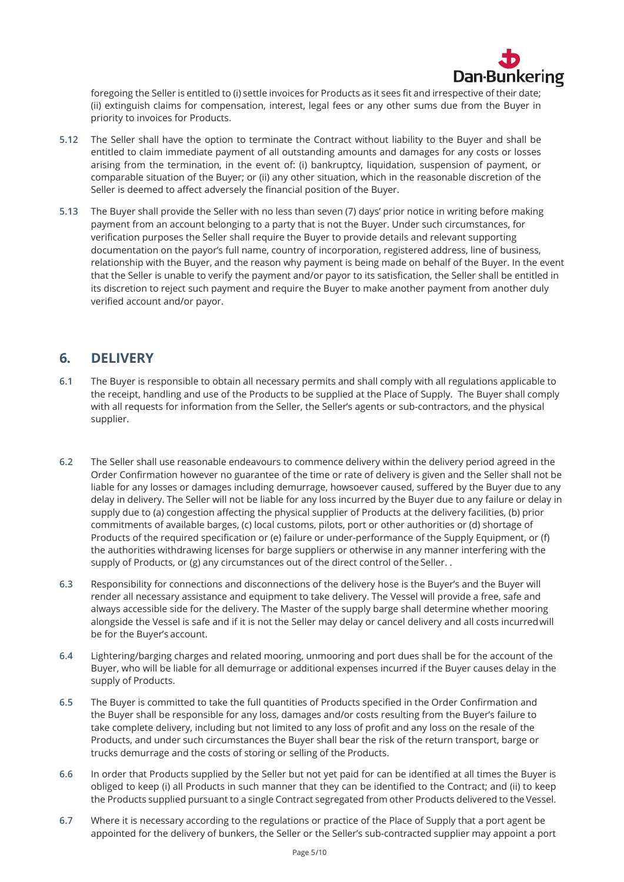

foregoing the Seller is entitled to (i) settle invoices for Products as it sees fit and irrespective of their date; (ii) extinguish claims for compensation, interest, legal fees or any other sums due from the Buyer in priority to invoices for Products.

- **5.12** The Seller shall have the option to terminate the Contract without liability to the Buyer and shall be entitled to claim immediate payment of all outstanding amounts and damages for any costs or losses arising from the termination, in the event of: (i) bankruptcy, liquidation, suspension of payment, or comparable situation of the Buyer; or (ii) any other situation, which in the reasonable discretion of the Seller is deemed to affect adversely the financial position of the Buyer.
- **5.13** The Buyer shall provide the Seller with no less than seven (7) days' prior notice in writing before making payment from an account belonging to a party that is not the Buyer. Under such circumstances, for verification purposes the Seller shall require the Buyer to provide details and relevant supporting documentation on the payor's full name, country of incorporation, registered address, line of business, relationship with the Buyer, and the reason why payment is being made on behalf of the Buyer. In the event that the Seller is unable to verify the payment and/or payor to its satisfication, the Seller shall be entitled in its discretion to reject such payment and require the Buyer to make another payment from another duly verified account and/or payor.

### **6. DELIVERY**

- **6.1** The Buyer is responsible to obtain all necessary permits and shall comply with all regulations applicable to the receipt, handling and use of the Products to be supplied at the Place of Supply. The Buyer shall comply with all requests for information from the Seller, the Seller's agents or sub-contractors, and the physical supplier.
- **6.2** The Seller shall use reasonable endeavours to commence delivery within the delivery period agreed in the Order Confirmation however no guarantee of the time or rate of delivery is given and the Seller shall not be liable for any losses or damages including demurrage, howsoever caused, suffered by the Buyer due to any delay in delivery. The Seller will not be liable for any loss incurred by the Buyer due to any failure or delay in supply due to (a) congestion affecting the physical supplier of Products at the delivery facilities, (b) prior commitments of available barges, (c) local customs, pilots, port or other authorities or (d) shortage of Products of the required specification or (e) failure or under-performance of the Supply Equipment, or (f) the authorities withdrawing licenses for barge suppliers or otherwise in any manner interfering with the supply of Products, or (g) any circumstances out of the direct control of the Seller. .
- **6.3** Responsibility for connections and disconnections of the delivery hose is the Buyer's and the Buyer will render all necessary assistance and equipment to take delivery. The Vessel will provide a free, safe and always accessible side for the delivery. The Master of the supply barge shall determine whether mooring alongside the Vessel is safe and if it is not the Seller may delay or cancel delivery and all costs incurredwill be for the Buyer's account.
- **6.4** Lightering/barging charges and related mooring, unmooring and port dues shall be for the account of the Buyer, who will be liable for all demurrage or additional expenses incurred if the Buyer causes delay in the supply of Products.
- **6.5** The Buyer is committed to take the full quantities of Products specified in the Order Confirmation and the Buyer shall be responsible for any loss, damages and/or costs resulting from the Buyer's failure to take complete delivery, including but not limited to any loss of profit and any loss on the resale of the Products, and under such circumstances the Buyer shall bear the risk of the return transport, barge or trucks demurrage and the costs of storing or selling of the Products.
- **6.6** In order that Products supplied by the Seller but not yet paid for can be identified at all times the Buyer is obliged to keep (i) all Products in such manner that they can be identified to the Contract; and (ii) to keep the Products supplied pursuant to a single Contract segregated from other Products delivered to the Vessel.
- **6.7** Where it is necessary according to the regulations or practice of the Place of Supply that a port agent be appointed for the delivery of bunkers, the Seller or the Seller's sub-contracted supplier may appoint a port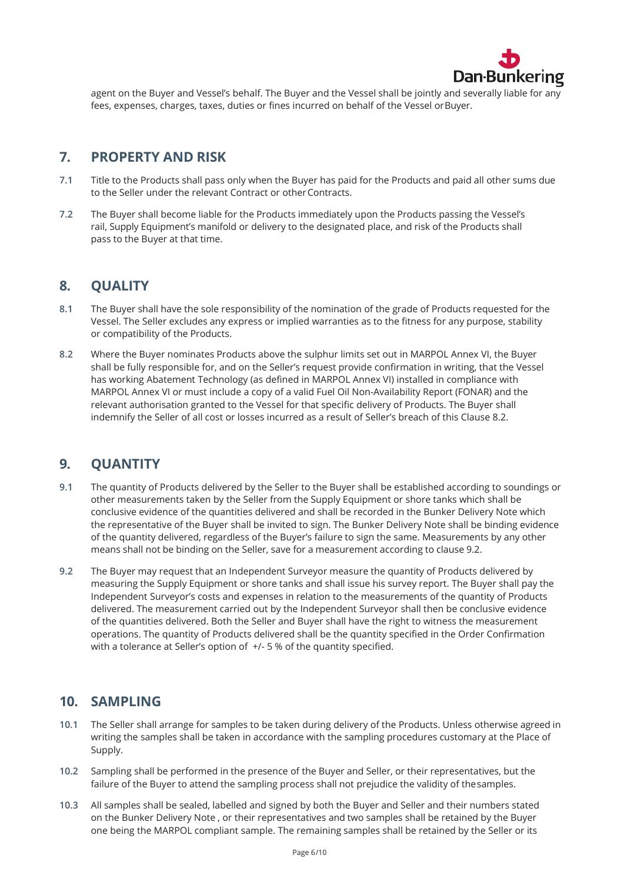

agent on the Buyer and Vessel's behalf. The Buyer and the Vessel shall be jointly and severally liable for any fees, expenses, charges, taxes, duties or fines incurred on behalf of the Vessel orBuyer.

#### **7. PROPERTY AND RISK**

- **7.1** Title to the Products shall pass only when the Buyer has paid for the Products and paid all other sums due to the Seller under the relevant Contract or otherContracts.
- **7.2** The Buyer shall become liable for the Products immediately upon the Products passing the Vessel's rail, Supply Equipment's manifold or delivery to the designated place, and risk of the Products shall pass to the Buyer at that time.

### **8. QUALITY**

- **8.1** The Buyer shall have the sole responsibility of the nomination of the grade of Products requested for the Vessel. The Seller excludes any express or implied warranties as to the fitness for any purpose, stability or compatibility of the Products.
- **8.2** Where the Buyer nominates Products above the sulphur limits set out in MARPOL Annex VI, the Buyer shall be fully responsible for, and on the Seller's request provide confirmation in writing, that the Vessel has working Abatement Technology (as defined in MARPOL Annex VI) installed in compliance with MARPOL Annex VI or must include a copy of a valid Fuel Oil Non-Availability Report (FONAR) and the relevant authorisation granted to the Vessel for that specific delivery of Products. The Buyer shall indemnify the Seller of all cost or losses incurred as a result of Seller's breach of this Clause 8.2.

# **9. QUANTITY**

- **9.1** The quantity of Products delivered by the Seller to the Buyer shall be established according to soundings or other measurements taken by the Seller from the Supply Equipment or shore tanks which shall be conclusive evidence of the quantities delivered and shall be recorded in the Bunker Delivery Note which the representative of the Buyer shall be invited to sign. The Bunker Delivery Note shall be binding evidence of the quantity delivered, regardless of the Buyer's failure to sign the same. Measurements by any other means shall not be binding on the Seller, save for a measurement according to clause 9.2.
- **9.2** The Buyer may request that an Independent Surveyor measure the quantity of Products delivered by measuring the Supply Equipment or shore tanks and shall issue his survey report. The Buyer shall pay the Independent Surveyor's costs and expenses in relation to the measurements of the quantity of Products delivered. The measurement carried out by the Independent Surveyor shall then be conclusive evidence of the quantities delivered. Both the Seller and Buyer shall have the right to witness the measurement operations. The quantity of Products delivered shall be the quantity specified in the Order Confirmation with a tolerance at Seller's option of +/- 5 % of the quantity specified.

#### **10. SAMPLING**

- **10.1** The Seller shall arrange for samples to be taken during delivery of the Products. Unless otherwise agreed in writing the samples shall be taken in accordance with the sampling procedures customary at the Place of Supply.
- **10.2** Sampling shall be performed in the presence of the Buyer and Seller, or their representatives, but the failure of the Buyer to attend the sampling process shall not prejudice the validity of thesamples.
- **10.3** All samples shall be sealed, labelled and signed by both the Buyer and Seller and their numbers stated on the Bunker Delivery Note , or their representatives and two samples shall be retained by the Buyer one being the MARPOL compliant sample. The remaining samples shall be retained by the Seller or its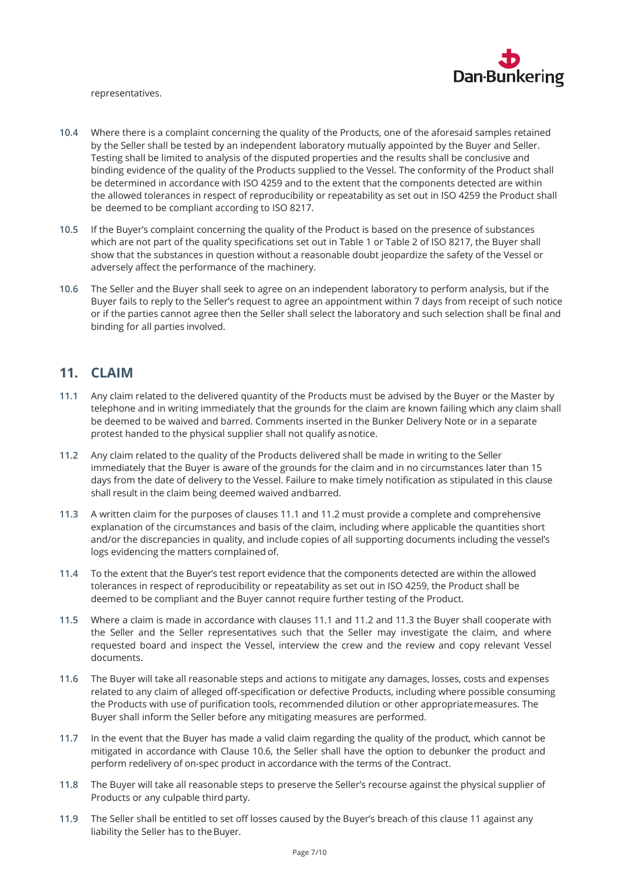

#### representatives.

- **10.4** Where there is a complaint concerning the quality of the Products, one of the aforesaid samples retained by the Seller shall be tested by an independent laboratory mutually appointed by the Buyer and Seller. Testing shall be limited to analysis of the disputed properties and the results shall be conclusive and binding evidence of the quality of the Products supplied to the Vessel. The conformity of the Product shall be determined in accordance with ISO 4259 and to the extent that the components detected are within the allowed tolerances in respect of reproducibility or repeatability as set out in ISO 4259 the Product shall be deemed to be compliant according to ISO 8217.
- <span id="page-6-0"></span>**10.5** If the Buyer's complaint concerning the quality of the Product is based on the presence of substances which are not part of the quality specifications set out in Table 1 or Table 2 of ISO 8217, the Buyer shall show that the substances in question without a reasonable doubt jeopardize the safety of the Vessel or adversely affect the performance of the machinery.
- **10.6** The Seller and the Buyer shall seek to agree on an independent laboratory to perform analysis, but if the Buyer fails to reply to the Seller's request to agree an appointment within 7 days from receipt of such notice or if the parties cannot agree then the Seller shall select the laboratory and such selection shall be final and binding for all parties involved.

#### **11. CLAIM**

- **11.1** Any claim related to the delivered quantity of the Products must be advised by the Buyer or the Master by telephone and in writing immediately that the grounds for the claim are known failing which any claim shall be deemed to be waived and barred. Comments inserted in the Bunker Delivery Note or in a separate protest handed to the physical supplier shall not qualify asnotice.
- **11.2** Any claim related to the quality of the Products delivered shall be made in writing to the Seller immediately that the Buyer is aware of the grounds for the claim and in no circumstances later than 15 days from the date of delivery to the Vessel. Failure to make timely notification as stipulated in this clause shall result in the claim being deemed waived andbarred.
- **11.3** A written claim for the purposes of clauses 11.1 and 11.2 must provide a complete and comprehensive explanation of the circumstances and basis of the claim, including where applicable the quantities short and/or the discrepancies in quality, and include copies of all supporting documents including the vessel's logs evidencing the matters complained of.
- **11.4** To the extent that the Buyer's test report evidence that the components detected are within the allowed tolerances in respect of reproducibility or repeatability as set out in ISO 4259, the Product shall be deemed to be compliant and the Buyer cannot require further testing of the Product.
- **11.5** Where a claim is made in accordance with clauses 11.1 and 11.2 and 11.3 the Buyer shall cooperate with the Seller and the Seller representatives such that the Seller may investigate the claim, and where requested board and inspect the Vessel, interview the crew and the review and copy relevant Vessel documents.
- **11.6** The Buyer will take all reasonable steps and actions to mitigate any damages, losses, costs and expenses related to any claim of alleged off-specification or defective Products, including where possible consuming the Products with use of purification tools, recommended dilution or other appropriatemeasures. The Buyer shall inform the Seller before any mitigating measures are performed.
- **11.7** In the event that the Buyer has made a valid claim regarding the quality of the product, which cannot be mitigated in accordance with Clause [10.6,](#page-6-0) the Seller shall have the option to debunker the product and perform redelivery of on-spec product in accordance with the terms of the Contract.
- **11.8** The Buyer will take all reasonable steps to preserve the Seller's recourse against the physical supplier of Products or any culpable third party.
- **11.9** The Seller shall be entitled to set off losses caused by the Buyer's breach of this clause 11 against any liability the Seller has to the Buyer.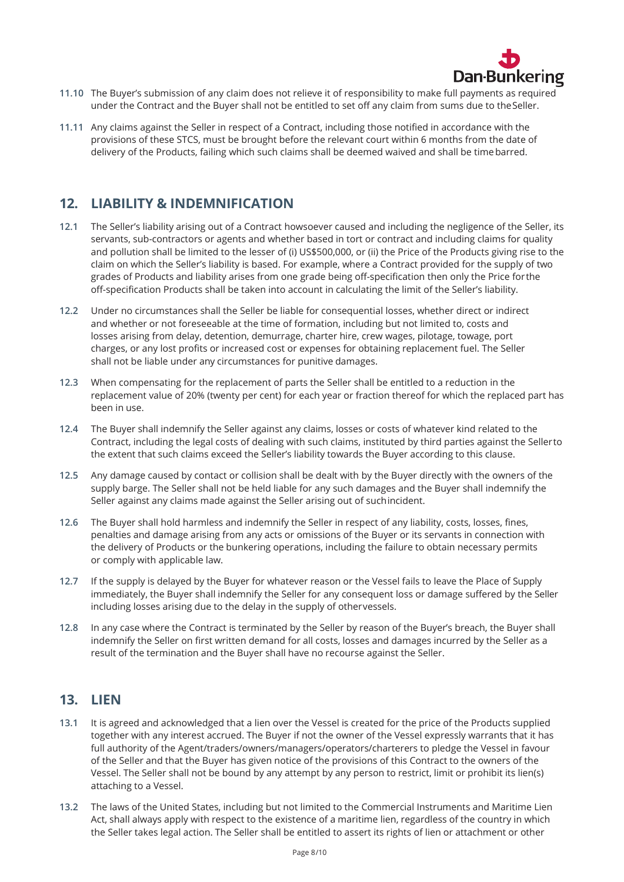

- **11.10** The Buyer's submission of any claim does not relieve it of responsibility to make full payments as required under the Contract and the Buyer shall not be entitled to set off any claim from sums due to theSeller.
- **11.11** Any claims against the Seller in respect of a Contract, including those notified in accordance with the provisions of these STCS, must be brought before the relevant court within 6 months from the date of delivery of the Products, failing which such claims shall be deemed waived and shall be timebarred.

#### **12. LIABILITY & INDEMNIFICATION**

- **12.1** The Seller's liability arising out of a Contract howsoever caused and including the negligence of the Seller, its servants, sub-contractors or agents and whether based in tort or contract and including claims for quality and pollution shall be limited to the lesser of (i) US\$500,000, or (ii) the Price of the Products giving rise to the claim on which the Seller's liability is based. For example, where a Contract provided for the supply of two grades of Products and liability arises from one grade being off-specification then only the Price for the off-specification Products shall be taken into account in calculating the limit of the Seller's liability.
- **12.2** Under no circumstances shall the Seller be liable for consequential losses, whether direct or indirect and whether or not foreseeable at the time of formation, including but not limited to, costs and losses arising from delay, detention, demurrage, charter hire, crew wages, pilotage, towage, port charges, or any lost profits or increased cost or expenses for obtaining replacement fuel. The Seller shall not be liable under any circumstances for punitive damages.
- **12.3** When compensating for the replacement of parts the Seller shall be entitled to a reduction in the replacement value of 20% (twenty per cent) for each year or fraction thereof for which the replaced part has been in use.
- **12.4** The Buyer shall indemnify the Seller against any claims, losses or costs of whatever kind related to the Contract, including the legal costs of dealing with such claims, instituted by third parties against the Sellerto the extent that such claims exceed the Seller's liability towards the Buyer according to this clause.
- **12.5** Any damage caused by contact or collision shall be dealt with by the Buyer directly with the owners of the supply barge. The Seller shall not be held liable for any such damages and the Buyer shall indemnify the Seller against any claims made against the Seller arising out of suchincident.
- **12.6** The Buyer shall hold harmless and indemnify the Seller in respect of any liability, costs, losses, fines, penalties and damage arising from any acts or omissions of the Buyer or its servants in connection with the delivery of Products or the bunkering operations, including the failure to obtain necessary permits or comply with applicable law.
- <span id="page-7-0"></span>**12.7** If the supply is delayed by the Buyer for whatever reason or the Vessel fails to leave the Place of Supply immediately, the Buyer shall indemnify the Seller for any consequent loss or damage suffered by the Seller including losses arising due to the delay in the supply of othervessels.
- **12.8** In any case where the Contract is terminated by the Seller by reason of the Buyer's breach, the Buyer shall indemnify the Seller on first written demand for all costs, losses and damages incurred by the Seller as a result of the termination and the Buyer shall have no recourse against the Seller.

#### **13. LIEN**

- **13.1** It is agreed and acknowledged that a lien over the Vessel is created for the price of the Products supplied together with any interest accrued. The Buyer if not the owner of the Vessel expressly warrants that it has full authority of the Agent/traders/owners/managers/operators/charterers to pledge the Vessel in favour of the Seller and that the Buyer has given notice of the provisions of this Contract to the owners of the Vessel. The Seller shall not be bound by any attempt by any person to restrict, limit or prohibit its lien(s) attaching to a Vessel.
- **13.2** The laws of the United States, including but not limited to the Commercial Instruments and Maritime Lien Act, shall always apply with respect to the existence of a maritime lien, regardless of the country in which the Seller takes legal action. The Seller shall be entitled to assert its rights of lien or attachment or other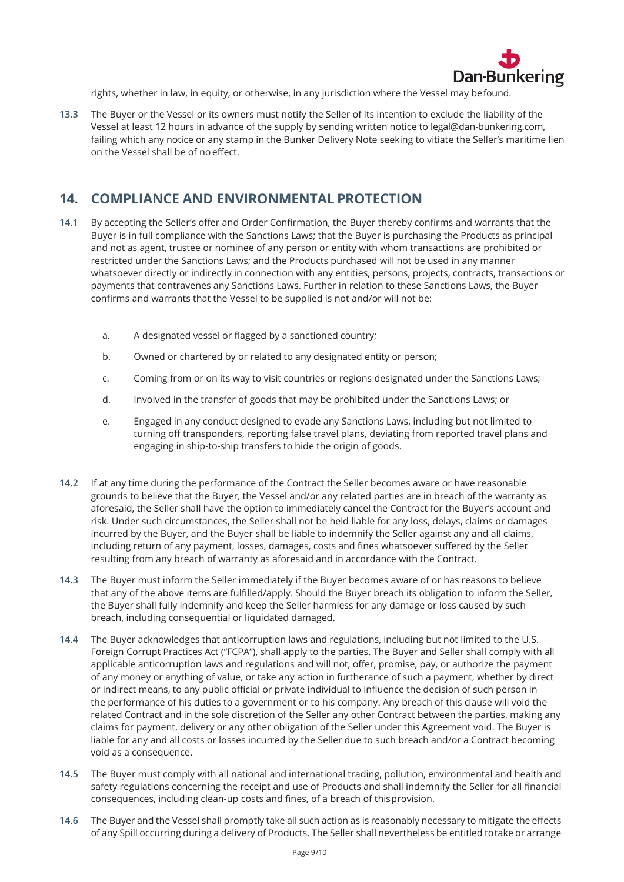

rights, whether in law, in equity, or otherwise, in any jurisdiction where the Vessel may befound.

**13.3** The Buyer or the Vessel or its owners must notify the Seller of its intention to exclude the liability of the Vessel at least 12 hours in advance of the supply by sending written notice to [legal@dan-bunkering.com,](mailto:legal@dan-bunkering.com) failing which any notice or any stamp in the Bunker Delivery Note seeking to vitiate the Seller's maritime lien on the Vessel shall be of noeffect.

#### **14. COMPLIANCE AND ENVIRONMENTAL PROTECTION**

- **14.1** By accepting the Seller's offer and Order Confirmation, the Buyer thereby confirms and warrants that the Buyer is in full compliance with the Sanctions Laws; that the Buyer is purchasing the Products as principal and not as agent, trustee or nominee of any person or entity with whom transactions are prohibited or restricted under the Sanctions Laws; and the Products purchased will not be used in any manner whatsoever directly or indirectly in connection with any entities, persons, projects, contracts, transactions or payments that contravenes any Sanctions Laws. Further in relation to these Sanctions Laws, the Buyer confirms and warrants that the Vessel to be supplied is not and/or will not be:
	- a. A designated vessel or flagged by a sanctioned country;
	- b. Owned or chartered by or related to any designated entity or person;
	- c. Coming from or on its way to visit countries or regions designated under the Sanctions Laws;
	- d. Involved in the transfer of goods that may be prohibited under the Sanctions Laws; or
	- e. Engaged in any conduct designed to evade any Sanctions Laws, including but not limited to turning off transponders, reporting false travel plans, deviating from reported travel plans and engaging in ship-to-ship transfers to hide the origin of goods.
- **14.2** If at any time during the performance of the Contract the Seller becomes aware or have reasonable grounds to believe that the Buyer, the Vessel and/or any related parties are in breach of the warranty as aforesaid, the Seller shall have the option to immediately cancel the Contract for the Buyer's account and risk. Under such circumstances, the Seller shall not be held liable for any loss, delays, claims or damages incurred by the Buyer, and the Buyer shall be liable to indemnify the Seller against any and all claims, including return of any payment, losses, damages, costs and fines whatsoever suffered by the Seller resulting from any breach of warranty as aforesaid and in accordance with the Contract.
- **14.3** The Buyer must inform the Seller immediately if the Buyer becomes aware of or has reasons to believe that any of the above items are fulfilled/apply. Should the Buyer breach its obligation to inform the Seller, the Buyer shall fully indemnify and keep the Seller harmless for any damage or loss caused by such breach, including consequential or liquidated damaged.
- **14.4** The Buyer acknowledges that anticorruption laws and regulations, including but not limited to the U.S. Foreign Corrupt Practices Act ("FCPA"), shall apply to the parties. The Buyer and Seller shall comply with all applicable anticorruption laws and regulations and will not, offer, promise, pay, or authorize the payment of any money or anything of value, or take any action in furtherance of such a payment, whether by direct or indirect means, to any public official or private individual to influence the decision of such person in the performance of his duties to a government or to his company. Any breach of this clause will void the related Contract and in the sole discretion of the Seller any other Contract between the parties, making any claims for payment, delivery or any other obligation of the Seller under this Agreement void. The Buyer is liable for any and all costs or losses incurred by the Seller due to such breach and/or a Contract becoming void as a consequence.
- **14.5** The Buyer must comply with all national and international trading, pollution, environmental and health and safety regulations concerning the receipt and use of Products and shall indemnify the Seller for all financial consequences, including clean-up costs and fines, of a breach of thisprovision.
- **14.6** The Buyer and the Vessel shall promptly take all such action as is reasonably necessary to mitigate the effects of any Spill occurring during a delivery of Products. The Seller shall nevertheless be entitled totake or arrange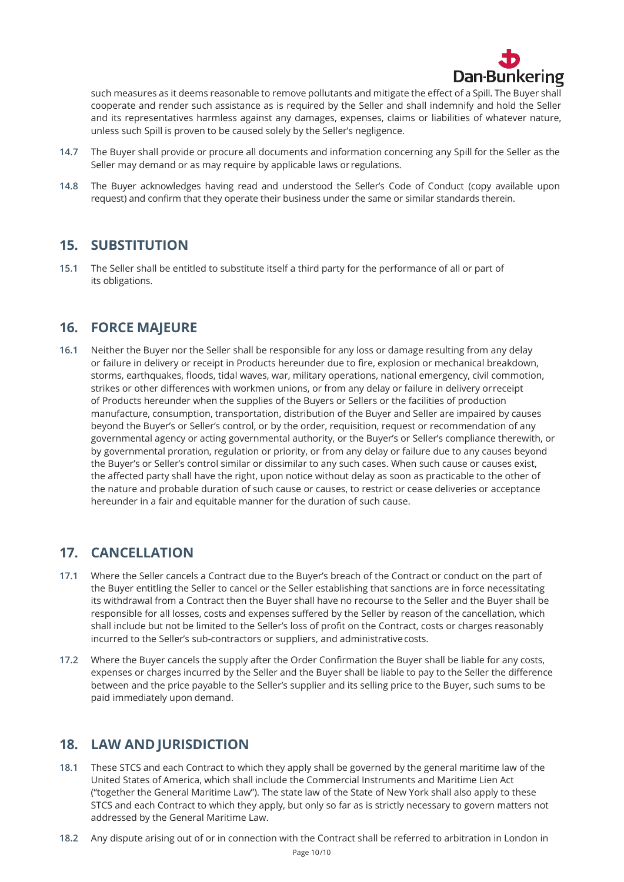

such measures as it deems reasonable to remove pollutants and mitigate the effect of a Spill. The Buyer shall cooperate and render such assistance as is required by the Seller and shall indemnify and hold the Seller and its representatives harmless against any damages, expenses, claims or liabilities of whatever nature, unless such Spill is proven to be caused solely by the Seller's negligence.

- **14.7** The Buyer shall provide or procure all documents and information concerning any Spill for the Seller as the Seller may demand or as may require by applicable laws or regulations.
- **14.8** The Buyer acknowledges having read and understood the Seller's Code of Conduct (copy available upon request) and confirm that they operate their business under the same or similar standards therein.

# **15. SUBSTITUTION**

**15.1** The Seller shall be entitled to substitute itself a third party for the performance of all or part of its obligations.

### **16. FORCE MAJEURE**

**16.1** Neither the Buyer nor the Seller shall be responsible for any loss or damage resulting from any delay or failure in delivery or receipt in Products hereunder due to fire, explosion or mechanical breakdown, storms, earthquakes, floods, tidal waves, war, military operations, national emergency, civil commotion, strikes or other differences with workmen unions, or from any delay or failure in delivery orreceipt of Products hereunder when the supplies of the Buyers or Sellers or the facilities of production manufacture, consumption, transportation, distribution of the Buyer and Seller are impaired by causes beyond the Buyer's or Seller's control, or by the order, requisition, request or recommendation of any governmental agency or acting governmental authority, or the Buyer's or Seller's compliance therewith, or by governmental proration, regulation or priority, or from any delay or failure due to any causes beyond the Buyer's or Seller's control similar or dissimilar to any such cases. When such cause or causes exist, the affected party shall have the right, upon notice without delay as soon as practicable to the other of the nature and probable duration of such cause or causes, to restrict or cease deliveries or acceptance hereunder in a fair and equitable manner for the duration of such cause.

# **17. CANCELLATION**

- **17.1** Where the Seller cancels a Contract due to the Buyer's breach of the Contract or conduct on the part of the Buyer entitling the Seller to cancel or the Seller establishing that sanctions are in force necessitating its withdrawal from a Contract then the Buyer shall have no recourse to the Seller and the Buyer shall be responsible for all losses, costs and expenses suffered by the Seller by reason of the cancellation, which shall include but not be limited to the Seller's loss of profit on the Contract, costs or charges reasonably incurred to the Seller's sub-contractors or suppliers, and administrativecosts.
- **17.2** Where the Buyer cancels the supply after the Order Confirmation the Buyer shall be liable for any costs, expenses or charges incurred by the Seller and the Buyer shall be liable to pay to the Seller the difference between and the price payable to the Seller's supplier and its selling price to the Buyer, such sums to be paid immediately upon demand.

# **18. LAW AND JURISDICTION**

- **18.1** These STCS and each Contract to which they apply shall be governed by the general maritime law of the United States of America, which shall include the Commercial Instruments and Maritime Lien Act ("together the General Maritime Law"). The state law of the State of New York shall also apply to these STCS and each Contract to which they apply, but only so far as is strictly necessary to govern matters not addressed by the General Maritime Law.
- **18.2** Any dispute arising out of or in connection with the Contract shall be referred to arbitration in London in